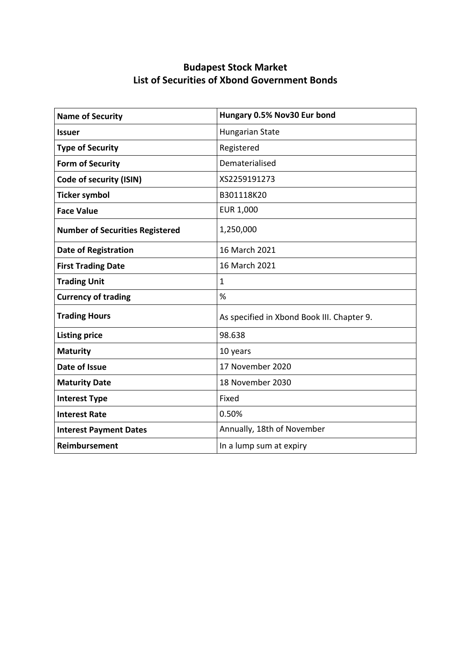| <b>Name of Security</b>                | Hungary 0.5% Nov30 Eur bond                |
|----------------------------------------|--------------------------------------------|
| <b>Issuer</b>                          | <b>Hungarian State</b>                     |
| <b>Type of Security</b>                | Registered                                 |
| <b>Form of Security</b>                | Dematerialised                             |
| <b>Code of security (ISIN)</b>         | XS2259191273                               |
| <b>Ticker symbol</b>                   | B301118K20                                 |
| <b>Face Value</b>                      | <b>EUR 1,000</b>                           |
| <b>Number of Securities Registered</b> | 1,250,000                                  |
| <b>Date of Registration</b>            | 16 March 2021                              |
| <b>First Trading Date</b>              | 16 March 2021                              |
| <b>Trading Unit</b>                    | $\mathbf{1}$                               |
| <b>Currency of trading</b>             | %                                          |
| <b>Trading Hours</b>                   | As specified in Xbond Book III. Chapter 9. |
| <b>Listing price</b>                   | 98.638                                     |
| <b>Maturity</b>                        | 10 years                                   |
| Date of Issue                          | 17 November 2020                           |
| <b>Maturity Date</b>                   | 18 November 2030                           |
| <b>Interest Type</b>                   | Fixed                                      |
| <b>Interest Rate</b>                   | 0.50%                                      |
| <b>Interest Payment Dates</b>          | Annually, 18th of November                 |
| <b>Reimbursement</b>                   | In a lump sum at expiry                    |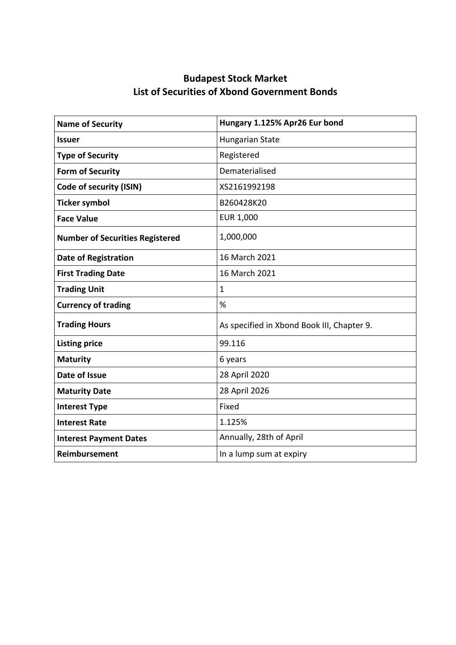| <b>Name of Security</b>                | Hungary 1.125% Apr26 Eur bond              |
|----------------------------------------|--------------------------------------------|
| <b>Issuer</b>                          | <b>Hungarian State</b>                     |
| <b>Type of Security</b>                | Registered                                 |
| <b>Form of Security</b>                | Dematerialised                             |
| Code of security (ISIN)                | XS2161992198                               |
| <b>Ticker symbol</b>                   | B260428K20                                 |
| <b>Face Value</b>                      | EUR 1,000                                  |
| <b>Number of Securities Registered</b> | 1,000,000                                  |
| <b>Date of Registration</b>            | 16 March 2021                              |
| <b>First Trading Date</b>              | 16 March 2021                              |
| <b>Trading Unit</b>                    | $\mathbf{1}$                               |
| <b>Currency of trading</b>             | %                                          |
| <b>Trading Hours</b>                   | As specified in Xbond Book III, Chapter 9. |
| <b>Listing price</b>                   | 99.116                                     |
| <b>Maturity</b>                        | 6 years                                    |
| Date of Issue                          | 28 April 2020                              |
| <b>Maturity Date</b>                   | 28 April 2026                              |
| <b>Interest Type</b>                   | Fixed                                      |
| <b>Interest Rate</b>                   | 1.125%                                     |
| <b>Interest Payment Dates</b>          | Annually, 28th of April                    |
| <b>Reimbursement</b>                   | In a lump sum at expiry                    |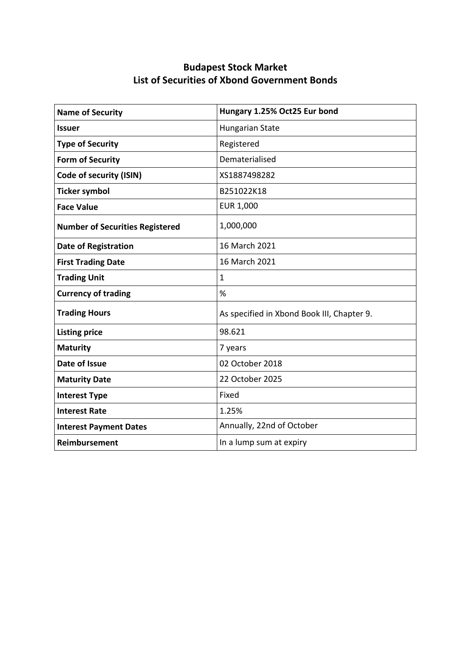| <b>Name of Security</b>                | Hungary 1.25% Oct25 Eur bond               |
|----------------------------------------|--------------------------------------------|
| <b>Issuer</b>                          | <b>Hungarian State</b>                     |
| <b>Type of Security</b>                | Registered                                 |
| <b>Form of Security</b>                | Dematerialised                             |
| Code of security (ISIN)                | XS1887498282                               |
| <b>Ticker symbol</b>                   | B251022K18                                 |
| <b>Face Value</b>                      | EUR 1,000                                  |
| <b>Number of Securities Registered</b> | 1,000,000                                  |
| <b>Date of Registration</b>            | 16 March 2021                              |
| <b>First Trading Date</b>              | 16 March 2021                              |
| <b>Trading Unit</b>                    | $\mathbf{1}$                               |
| <b>Currency of trading</b>             | %                                          |
| <b>Trading Hours</b>                   | As specified in Xbond Book III, Chapter 9. |
| <b>Listing price</b>                   | 98.621                                     |
| <b>Maturity</b>                        | 7 years                                    |
| Date of Issue                          | 02 October 2018                            |
| <b>Maturity Date</b>                   | 22 October 2025                            |
| <b>Interest Type</b>                   | Fixed                                      |
| <b>Interest Rate</b>                   | 1.25%                                      |
| <b>Interest Payment Dates</b>          | Annually, 22nd of October                  |
| <b>Reimbursement</b>                   | In a lump sum at expiry                    |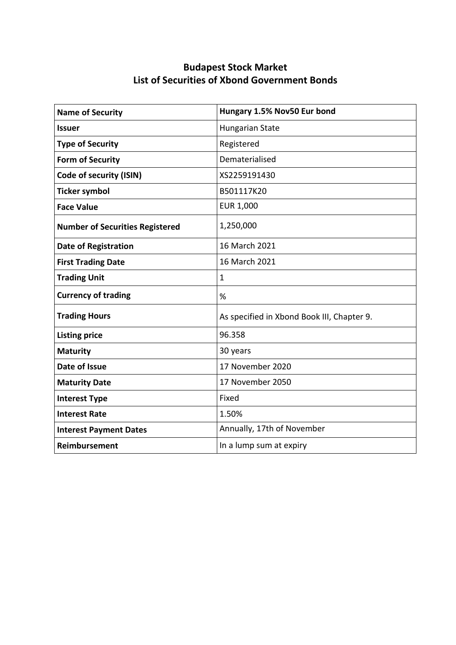| <b>Name of Security</b>                | Hungary 1.5% Nov50 Eur bond                |
|----------------------------------------|--------------------------------------------|
| <b>Issuer</b>                          | <b>Hungarian State</b>                     |
| <b>Type of Security</b>                | Registered                                 |
| <b>Form of Security</b>                | Dematerialised                             |
| Code of security (ISIN)                | XS2259191430                               |
| <b>Ticker symbol</b>                   | B501117K20                                 |
| <b>Face Value</b>                      | EUR 1,000                                  |
| <b>Number of Securities Registered</b> | 1,250,000                                  |
| <b>Date of Registration</b>            | 16 March 2021                              |
| <b>First Trading Date</b>              | 16 March 2021                              |
| <b>Trading Unit</b>                    | $\mathbf{1}$                               |
| <b>Currency of trading</b>             | %                                          |
| <b>Trading Hours</b>                   | As specified in Xbond Book III, Chapter 9. |
| <b>Listing price</b>                   | 96.358                                     |
| <b>Maturity</b>                        | 30 years                                   |
| Date of Issue                          | 17 November 2020                           |
| <b>Maturity Date</b>                   | 17 November 2050                           |
| <b>Interest Type</b>                   | Fixed                                      |
| <b>Interest Rate</b>                   | 1.50%                                      |
| <b>Interest Payment Dates</b>          | Annually, 17th of November                 |
| <b>Reimbursement</b>                   | In a lump sum at expiry                    |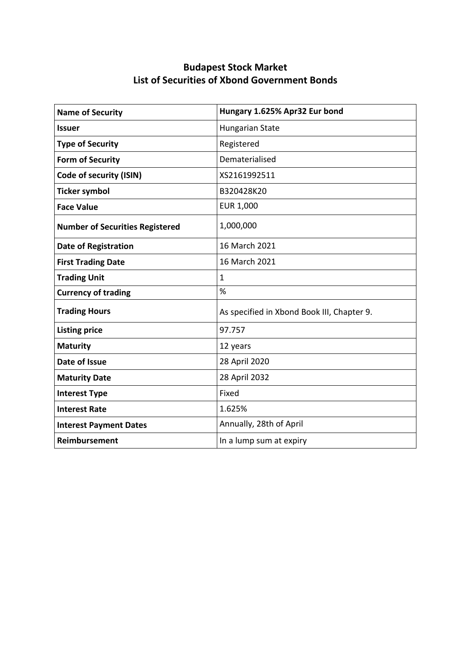| <b>Name of Security</b>                | Hungary 1.625% Apr32 Eur bond              |
|----------------------------------------|--------------------------------------------|
| <b>Issuer</b>                          | <b>Hungarian State</b>                     |
| <b>Type of Security</b>                | Registered                                 |
| <b>Form of Security</b>                | Dematerialised                             |
| Code of security (ISIN)                | XS2161992511                               |
| <b>Ticker symbol</b>                   | B320428K20                                 |
| <b>Face Value</b>                      | EUR 1,000                                  |
| <b>Number of Securities Registered</b> | 1,000,000                                  |
| <b>Date of Registration</b>            | 16 March 2021                              |
| <b>First Trading Date</b>              | 16 March 2021                              |
| <b>Trading Unit</b>                    | $\mathbf{1}$                               |
| <b>Currency of trading</b>             | %                                          |
| <b>Trading Hours</b>                   | As specified in Xbond Book III, Chapter 9. |
| <b>Listing price</b>                   | 97.757                                     |
| <b>Maturity</b>                        | 12 years                                   |
| Date of Issue                          | 28 April 2020                              |
| <b>Maturity Date</b>                   | 28 April 2032                              |
| <b>Interest Type</b>                   | Fixed                                      |
| <b>Interest Rate</b>                   | 1.625%                                     |
| <b>Interest Payment Dates</b>          | Annually, 28th of April                    |
| <b>Reimbursement</b>                   | In a lump sum at expiry                    |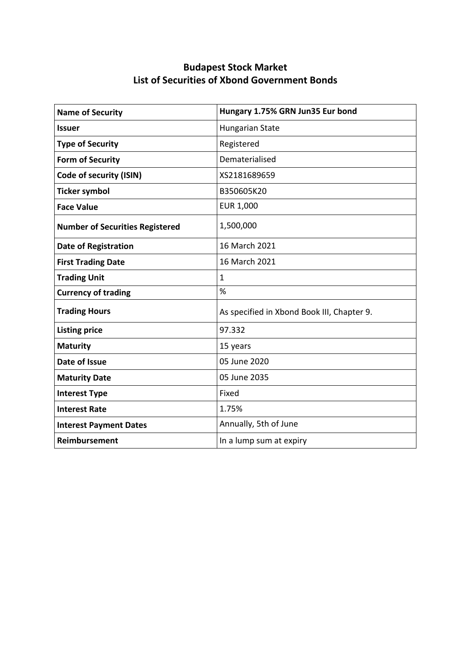| <b>Name of Security</b>                | Hungary 1.75% GRN Jun35 Eur bond           |
|----------------------------------------|--------------------------------------------|
| <b>Issuer</b>                          | <b>Hungarian State</b>                     |
| <b>Type of Security</b>                | Registered                                 |
| <b>Form of Security</b>                | Dematerialised                             |
| Code of security (ISIN)                | XS2181689659                               |
| <b>Ticker symbol</b>                   | B350605K20                                 |
| <b>Face Value</b>                      | EUR 1,000                                  |
| <b>Number of Securities Registered</b> | 1,500,000                                  |
| <b>Date of Registration</b>            | 16 March 2021                              |
| <b>First Trading Date</b>              | 16 March 2021                              |
| <b>Trading Unit</b>                    | $\mathbf{1}$                               |
| <b>Currency of trading</b>             | %                                          |
| <b>Trading Hours</b>                   | As specified in Xbond Book III, Chapter 9. |
| <b>Listing price</b>                   | 97.332                                     |
| <b>Maturity</b>                        | 15 years                                   |
| Date of Issue                          | 05 June 2020                               |
| <b>Maturity Date</b>                   | 05 June 2035                               |
| <b>Interest Type</b>                   | Fixed                                      |
| <b>Interest Rate</b>                   | 1.75%                                      |
| <b>Interest Payment Dates</b>          | Annually, 5th of June                      |
| <b>Reimbursement</b>                   | In a lump sum at expiry                    |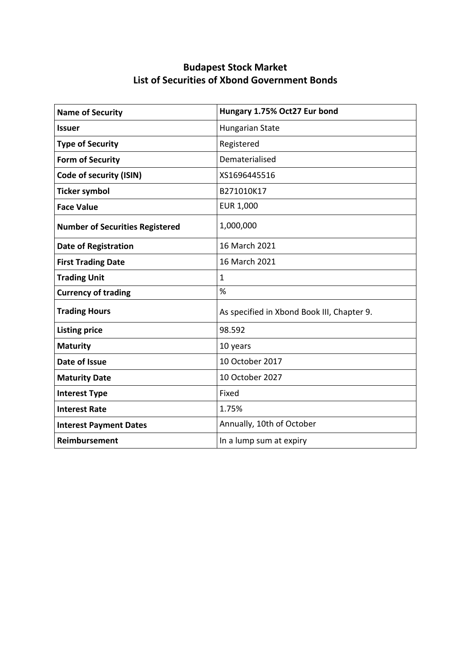| <b>Name of Security</b>                | Hungary 1.75% Oct27 Eur bond               |
|----------------------------------------|--------------------------------------------|
| <b>Issuer</b>                          | <b>Hungarian State</b>                     |
| <b>Type of Security</b>                | Registered                                 |
| <b>Form of Security</b>                | Dematerialised                             |
| Code of security (ISIN)                | XS1696445516                               |
| <b>Ticker symbol</b>                   | B271010K17                                 |
| <b>Face Value</b>                      | EUR 1,000                                  |
| <b>Number of Securities Registered</b> | 1,000,000                                  |
| <b>Date of Registration</b>            | 16 March 2021                              |
| <b>First Trading Date</b>              | 16 March 2021                              |
| <b>Trading Unit</b>                    | $\mathbf{1}$                               |
| <b>Currency of trading</b>             | %                                          |
| <b>Trading Hours</b>                   | As specified in Xbond Book III, Chapter 9. |
| <b>Listing price</b>                   | 98.592                                     |
| <b>Maturity</b>                        | 10 years                                   |
| Date of Issue                          | 10 October 2017                            |
| <b>Maturity Date</b>                   | 10 October 2027                            |
| <b>Interest Type</b>                   | Fixed                                      |
| <b>Interest Rate</b>                   | 1.75%                                      |
| <b>Interest Payment Dates</b>          | Annually, 10th of October                  |
| <b>Reimbursement</b>                   | In a lump sum at expiry                    |